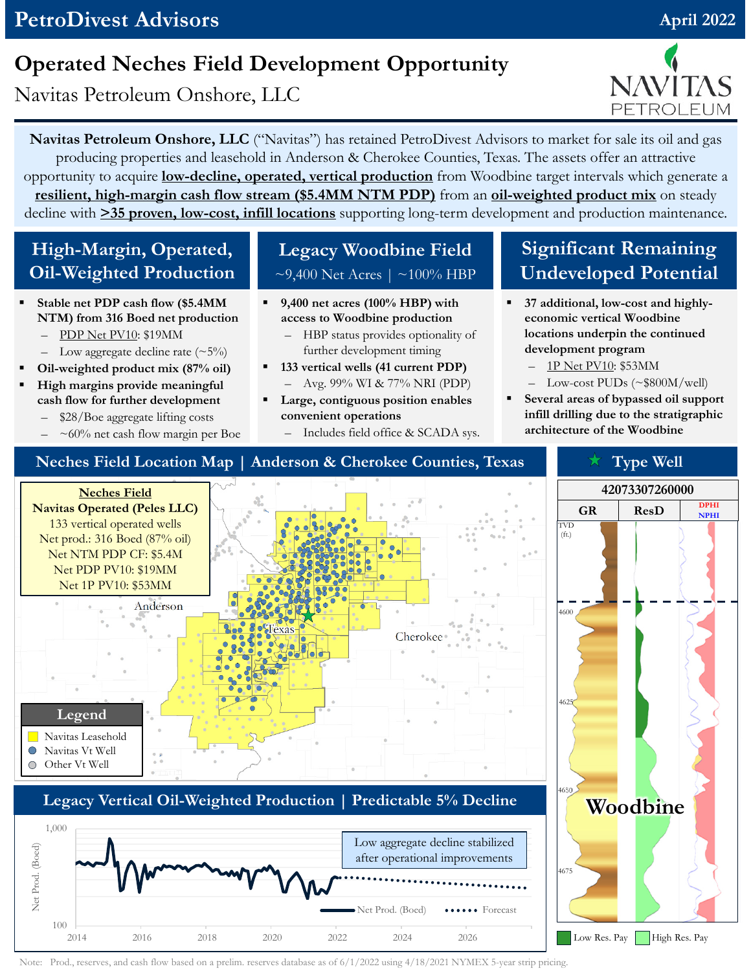## **PetroDivest Advisors April 2022 April 2022**

# **Operated Neches Field Development Opportunity**

Navitas Petroleum Onshore, LLC

**Navitas Petroleum Onshore, LLC** ("Navitas") has retained PetroDivest Advisors to market for sale its oil and gas producing properties and leasehold in Anderson & Cherokee Counties, Texas. The assets offer an attractive opportunity to acquire **low-decline, operated, vertical production** from Woodbine target intervals which generate a **resilient, high-margin cash flow stream (\$5.4MM NTM PDP)** from an **oil-weighted product mix** on steady decline with **>35 proven, low-cost, infill locations** supporting long-term development and production maintenance.

#### **High-Margin, Operated, Oil-Weighted Production**

- **Stable net PDP cash flow (\$5.4MM NTM) from 316 Boed net production**
	- PDP Net PV10: \$19MM
	- Low aggregate decline rate  $(\sim 5\%)$
- **Oil-weighted product mix (87% oil)**
- **High margins provide meaningful cash flow for further development**
	- \$28/Boe aggregate lifting costs
	- $\sim 60\%$  net cash flow margin per Boe

### **Legacy Woodbine Field**  $\sim$ 9,400 Net Acres |  $\sim$ 100% HBP

- **9,400 net acres (100% HBP) with access to Woodbine production**
	- HBP status provides optionality of further development timing
- **133 vertical wells (41 current PDP)** – Avg. 99% WI & 77% NRI (PDP)
- **Large, contiguous position enables convenient operations**
	- Includes field office & SCADA sys.

### **Significant Remaining Undeveloped Potential**

- **37 additional, low-cost and highlyeconomic vertical Woodbine locations underpin the continued development program**
	- 1P Net PV10: \$53MM
	- Low-cost PUDs (~\$800M/well)
- **Several areas of bypassed oil support infill drilling due to the stratigraphic architecture of the Woodbine**



Note: Prod., reserves, and cash flow based on a prelim. reserves database as of 6/1/2022 using 4/18/2021 NYMEX 5-year strip pricing.

2014 2016 2018 2020 2022 2024 2026